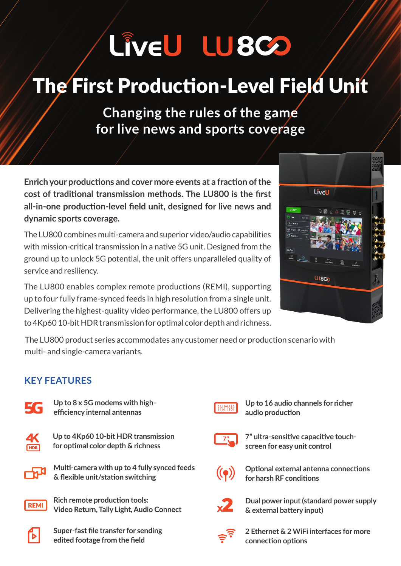# LÎVEU LU8CO

### The First Production-Level Field Unit

**Changing the rules of the game** for live news and sports coverage

**Enrich your productions and cover more events at a fraction of the** cost of traditional transmission methods. The LU800 is the first all-in-one production-level field unit, designed for live news and dynamic sports coverage.

The LU800 combines multi-camera and superior video/audio capabilities with mission-critical transmission in a native 5G unit. Designed from the ground up to unlock 5G potential, the unit offers unparalleled quality of service and resiliency.

The LU800 enables complex remote productions (REMI), supporting up to four fully frame-synced feeds in high resolution from a single unit. Delivering the highest-quality video performance, the LU800 offers up to 4Kp60 10-bit HDR transmission for optimal color depth and richness.



The LU800 product series accommodates any customer need or production scenario with multi- and single-camera variants.

#### **KEY FEATURES**



Up to 8 x 5G modems with high-<br>efficiency internal antennas



**Up to 4Kp60 10-bit HDR transmission** for optimal color depth & richness



**Multi-camera with up to 4 fully synced feeds & flexible unit/station switching** 



**Rich remote production tools: Video Return, Tally Light, Audio Connect** 



**Super-fast file transfer for sending** *edited footage from the field* 



**Up to 16 audio channels for richer** audio production



7" ultra-sensitive capacitive touch-<br>screen for easy unit control



**Optional external antenna connections** for harsh **RF** conditions



**Dual power input (standard power supply**  $&$  external battery input)



**2 Ethernet & 2 WiFi interfaces for more options connection**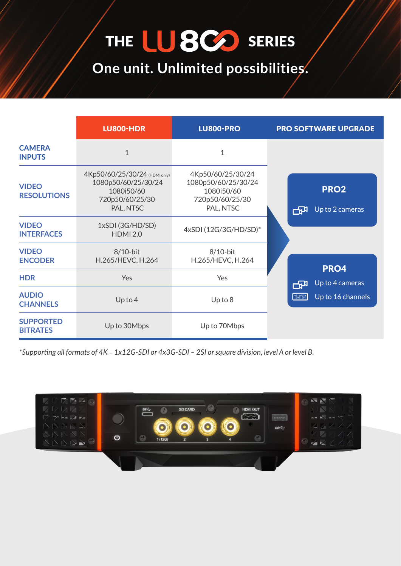## THE LUSCO SERIES

**One unit. Unlimited possibilities.** 

|                                     | <b>LU800-HDR</b>                                                                                   | <b>LU800-PRO</b>                                                                       | <b>PRO SOFTWARE UPGRADE</b>              |
|-------------------------------------|----------------------------------------------------------------------------------------------------|----------------------------------------------------------------------------------------|------------------------------------------|
| <b>CAMERA</b><br><b>INPUTS</b>      | $\mathbf{1}$                                                                                       | $\mathbf 1$                                                                            |                                          |
| <b>VIDEO</b><br><b>RESOLUTIONS</b>  | 4Kp50/60/25/30/24 (HDMI only)<br>1080p50/60/25/30/24<br>1080i50/60<br>720p50/60/25/30<br>PAL, NTSC | 4Kp50/60/25/30/24<br>1080p50/60/25/30/24<br>1080i50/60<br>720p50/60/25/30<br>PAL, NTSC | PRO <sub>2</sub><br>Up to 2 cameras<br>冊 |
| <b>VIDEO</b><br><b>INTERFACES</b>   | 1xSDI (3G/HD/SD)<br><b>HDMI 2.0</b>                                                                | 4xSDI (12G/3G/HD/SD)*                                                                  |                                          |
| <b>VIDEO</b><br><b>ENCODER</b>      | $8/10$ -bit<br>H.265/HEVC, H.264                                                                   | $8/10$ -bit<br>H.265/HEVC, H.264                                                       | PRO4                                     |
| <b>HDR</b>                          | Yes                                                                                                | Yes                                                                                    | Up to 4 cameras<br>ਾਲ                    |
| <b>AUDIO</b><br><b>CHANNELS</b>     | $Up$ to 4                                                                                          | $Up$ to $8$                                                                            | <b>MARTIN</b><br>Up to 16 channels       |
| <b>SUPPORTED</b><br><b>BITRATES</b> | Up to 30Mbps                                                                                       | Up to 70Mbps                                                                           |                                          |

*.B level or A level ,division square or SI2 – SDI-G3x4 or SDI-G12x1* – *K4 of formats all Supporting\**